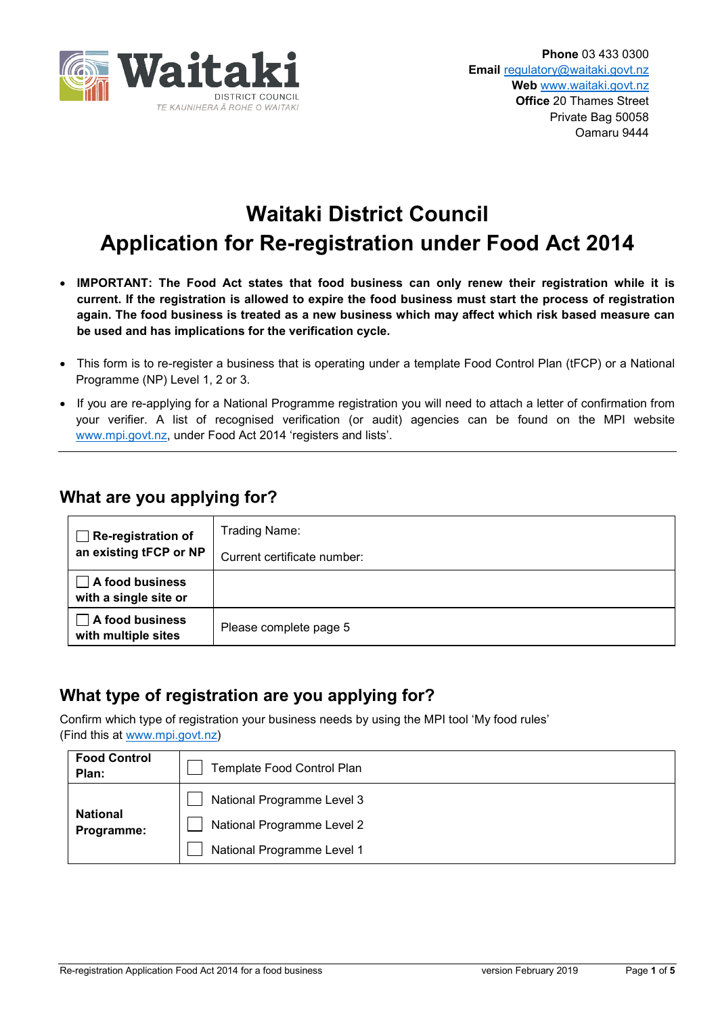

# **Waitaki District Council Application for Re-registration under Food Act 2014**

- **IMPORTANT: The Food Act states that food business can only renew their registration while it is current. If the registration is allowed to expire the food business must start the process of registration again. The food business is treated as a new business which may affect which risk based measure can be used and has implications for the verification cycle.**
- This form is to re-register a business that is operating under a template Food Control Plan (tFCP) or a National Programme (NP) Level 1, 2 or 3.
- If you are re-applying for a National Programme registration you will need to attach a letter of confirmation from your verifier. A list of recognised verification (or audit) agencies can be found on the MPI website [www.mpi.govt.nz,](http://www.mpi.govt.nz/) under Food Act 2014 'registers and lists'.

## **What are you applying for?**

| <b>Re-registration of</b><br>an existing tFCP or NP | Trading Name:               |
|-----------------------------------------------------|-----------------------------|
|                                                     | Current certificate number: |
| $\Box$ A food business<br>with a single site or     |                             |
| A food business<br>with multiple sites              | Please complete page 5      |

# **What type of registration are you applying for?**

Confirm which type of registration your business needs by using the MPI tool 'My food rules' (Find this at [www.mpi.govt.nz\)](http://www.mpi.govt.nz/)

| <b>Food Control</b><br>Plan:  | <b>Template Food Control Plan</b>                                                      |
|-------------------------------|----------------------------------------------------------------------------------------|
| <b>National</b><br>Programme: | National Programme Level 3<br>National Programme Level 2<br>National Programme Level 1 |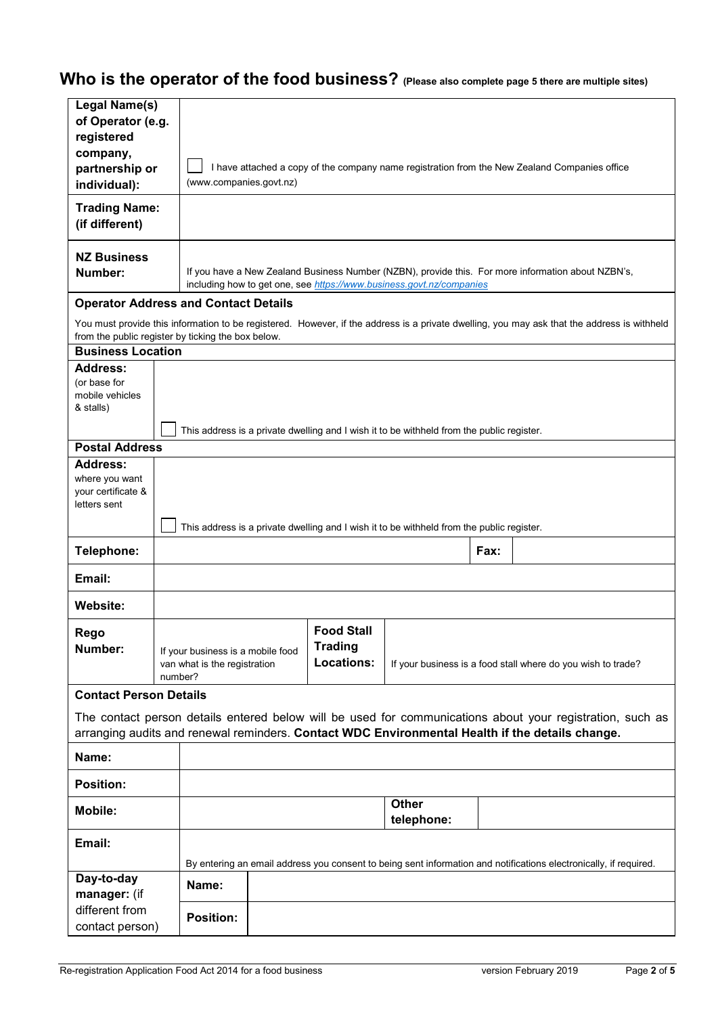# **Who is the operator of the food business? (Please also complete page 5 there are multiple sites)**

| Legal Name(s)<br>of Operator (e.g.<br>registered<br>company,<br>partnership or<br>individual): |                                                                                           | I have attached a copy of the company name registration from the New Zealand Companies office<br>(www.companies.govt.nz)                                                   |  |                                                          |                                                                                           |      |                                                                                                                                                                                                              |
|------------------------------------------------------------------------------------------------|-------------------------------------------------------------------------------------------|----------------------------------------------------------------------------------------------------------------------------------------------------------------------------|--|----------------------------------------------------------|-------------------------------------------------------------------------------------------|------|--------------------------------------------------------------------------------------------------------------------------------------------------------------------------------------------------------------|
| <b>Trading Name:</b><br>(if different)                                                         |                                                                                           |                                                                                                                                                                            |  |                                                          |                                                                                           |      |                                                                                                                                                                                                              |
| <b>NZ Business</b><br>Number:                                                                  |                                                                                           | If you have a New Zealand Business Number (NZBN), provide this. For more information about NZBN's,<br>including how to get one, see https://www.business.govt.nz/companies |  |                                                          |                                                                                           |      |                                                                                                                                                                                                              |
| <b>Operator Address and Contact Details</b>                                                    |                                                                                           |                                                                                                                                                                            |  |                                                          |                                                                                           |      |                                                                                                                                                                                                              |
| from the public register by ticking the box below.                                             |                                                                                           |                                                                                                                                                                            |  |                                                          |                                                                                           |      | You must provide this information to be registered. However, if the address is a private dwelling, you may ask that the address is withheld                                                                  |
| <b>Business Location</b>                                                                       |                                                                                           |                                                                                                                                                                            |  |                                                          |                                                                                           |      |                                                                                                                                                                                                              |
| <b>Address:</b><br>(or base for<br>mobile vehicles<br>& stalls)                                |                                                                                           |                                                                                                                                                                            |  |                                                          |                                                                                           |      |                                                                                                                                                                                                              |
| <b>Postal Address</b>                                                                          |                                                                                           |                                                                                                                                                                            |  |                                                          | This address is a private dwelling and I wish it to be withheld from the public register. |      |                                                                                                                                                                                                              |
| <b>Address:</b><br>where you want<br>your certificate &<br>letters sent                        | This address is a private dwelling and I wish it to be withheld from the public register. |                                                                                                                                                                            |  |                                                          |                                                                                           |      |                                                                                                                                                                                                              |
| Telephone:                                                                                     |                                                                                           |                                                                                                                                                                            |  |                                                          |                                                                                           | Fax: |                                                                                                                                                                                                              |
| Email:                                                                                         |                                                                                           |                                                                                                                                                                            |  |                                                          |                                                                                           |      |                                                                                                                                                                                                              |
| Website:                                                                                       |                                                                                           |                                                                                                                                                                            |  |                                                          |                                                                                           |      |                                                                                                                                                                                                              |
| Rego<br>Number:                                                                                |                                                                                           | If your business is a mobile food<br>van what is the registration<br>number?                                                                                               |  | <b>Food Stall</b><br><b>Trading</b><br><b>Locations:</b> | If your business is a food stall where do you wish to trade?                              |      |                                                                                                                                                                                                              |
| <b>Contact Person Details</b>                                                                  |                                                                                           |                                                                                                                                                                            |  |                                                          |                                                                                           |      |                                                                                                                                                                                                              |
|                                                                                                |                                                                                           |                                                                                                                                                                            |  |                                                          |                                                                                           |      | The contact person details entered below will be used for communications about your registration, such as<br>arranging audits and renewal reminders. Contact WDC Environmental Health if the details change. |
| Name:                                                                                          |                                                                                           |                                                                                                                                                                            |  |                                                          |                                                                                           |      |                                                                                                                                                                                                              |
| <b>Position:</b>                                                                               |                                                                                           |                                                                                                                                                                            |  |                                                          |                                                                                           |      |                                                                                                                                                                                                              |
| <b>Mobile:</b>                                                                                 |                                                                                           |                                                                                                                                                                            |  |                                                          | <b>Other</b><br>telephone:                                                                |      |                                                                                                                                                                                                              |
| Email:                                                                                         |                                                                                           |                                                                                                                                                                            |  |                                                          |                                                                                           |      |                                                                                                                                                                                                              |
| Day-to-day                                                                                     |                                                                                           | Name:                                                                                                                                                                      |  |                                                          |                                                                                           |      | By entering an email address you consent to being sent information and notifications electronically, if required.                                                                                            |
| manager: (if<br>different from                                                                 |                                                                                           | <b>Position:</b>                                                                                                                                                           |  |                                                          |                                                                                           |      |                                                                                                                                                                                                              |
| contact person)                                                                                |                                                                                           |                                                                                                                                                                            |  |                                                          |                                                                                           |      |                                                                                                                                                                                                              |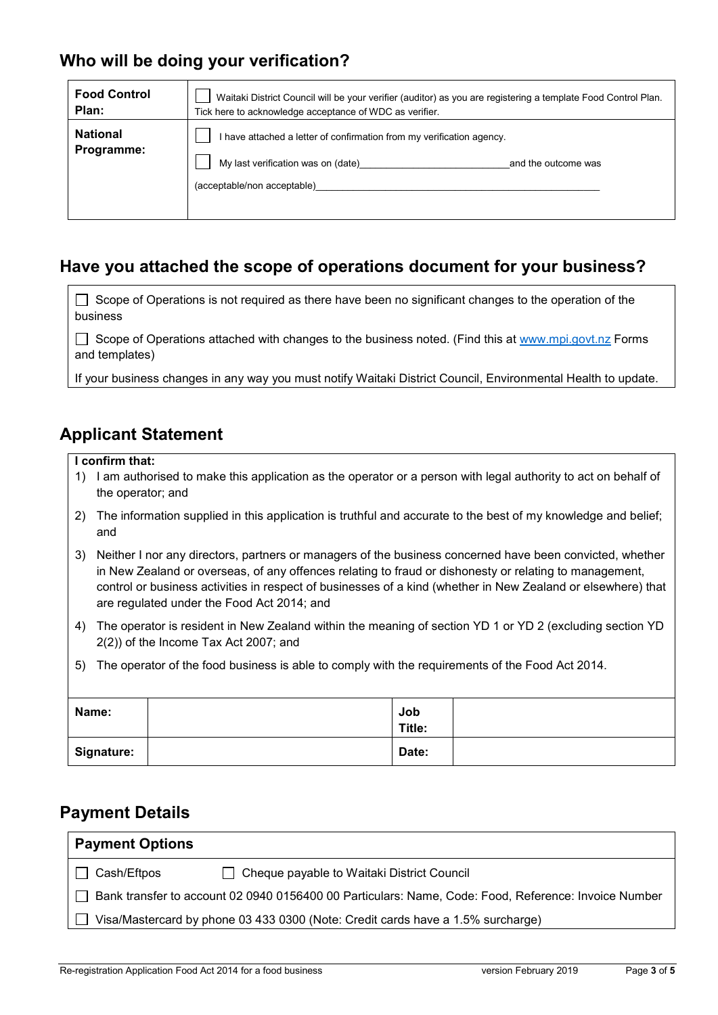# **Who will be doing your verification?**

| <b>Food Control</b>           | Waitaki District Council will be your verifier (auditor) as you are registering a template Food Control Plan.                                                     |  |  |  |
|-------------------------------|-------------------------------------------------------------------------------------------------------------------------------------------------------------------|--|--|--|
| Plan:                         | Tick here to acknowledge acceptance of WDC as verifier.                                                                                                           |  |  |  |
| <b>National</b><br>Programme: | I have attached a letter of confirmation from my verification agency.<br>My last verification was on (date)<br>and the outcome was<br>(acceptable/non acceptable) |  |  |  |

# **Have you attached the scope of operations document for your business?**

| $\Box$ Scope of Operations is not required as there have been no significant changes to the operation of the |
|--------------------------------------------------------------------------------------------------------------|
| business                                                                                                     |

Scope of Operations attached with changes to the business noted. (Find this at [www.mpi.govt.nz](http://www.mpi.govt.nz/) Forms and templates)

If your business changes in any way you must notify Waitaki District Council, Environmental Health to update.

## **Applicant Statement**

#### **I confirm that:**

- 1) I am authorised to make this application as the operator or a person with legal authority to act on behalf of the operator; and
- 2) The information supplied in this application is truthful and accurate to the best of my knowledge and belief; and
- 3) Neither I nor any directors, partners or managers of the business concerned have been convicted, whether in New Zealand or overseas, of any offences relating to fraud or dishonesty or relating to management, control or business activities in respect of businesses of a kind (whether in New Zealand or elsewhere) that are regulated under the Food Act 2014; and
- 4) The operator is resident in New Zealand within the meaning of section YD 1 or YD 2 (excluding section YD 2(2)) of the Income Tax Act 2007; and
- 5) The operator of the food business is able to comply with the requirements of the Food Act 2014.

| Name:             | Job<br>Title: |  |
|-------------------|---------------|--|
| <b>Signature:</b> | Date:         |  |

### **Payment Details**

| <b>Payment Options</b>                                                                               |                                              |  |  |  |  |
|------------------------------------------------------------------------------------------------------|----------------------------------------------|--|--|--|--|
| Cash/Eftpos                                                                                          | □ Cheque payable to Waitaki District Council |  |  |  |  |
| Bank transfer to account 02 0940 0156400 00 Particulars: Name, Code: Food, Reference: Invoice Number |                                              |  |  |  |  |
| Visa/Mastercard by phone 03 433 0300 (Note: Credit cards have a 1.5% surcharge)                      |                                              |  |  |  |  |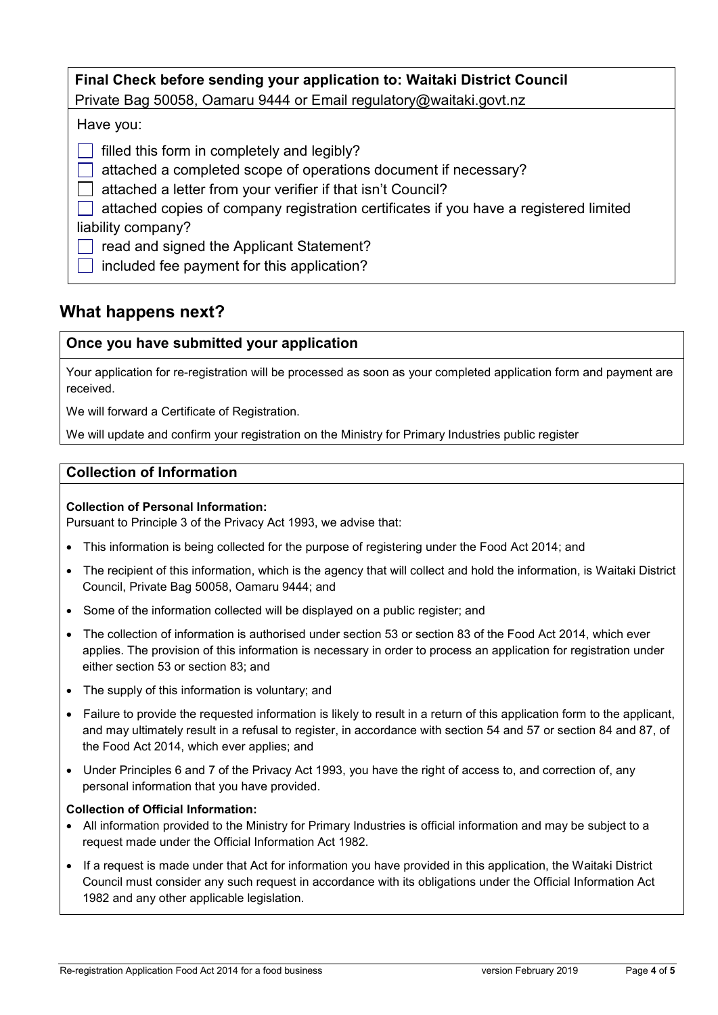| Final Check before sending your application to: Waitaki District Council<br>Private Bag 50058, Oamaru 9444 or Email regulatory@waitaki.govt.nz                                                                                                                                                                                                                                         |  |  |  |  |  |
|----------------------------------------------------------------------------------------------------------------------------------------------------------------------------------------------------------------------------------------------------------------------------------------------------------------------------------------------------------------------------------------|--|--|--|--|--|
| Have you:                                                                                                                                                                                                                                                                                                                                                                              |  |  |  |  |  |
| filled this form in completely and legibly?<br>attached a completed scope of operations document if necessary?<br>attached a letter from your verifier if that isn't Council?<br>attached copies of company registration certificates if you have a registered limited<br>liability company?<br>read and signed the Applicant Statement?<br>included fee payment for this application? |  |  |  |  |  |

## **What happens next?**

#### **Once you have submitted your application**

Your application for re-registration will be processed as soon as your completed application form and payment are received.

We will forward a Certificate of Registration.

We will update and confirm your registration on the Ministry for Primary Industries public register

#### **Collection of Information**

#### **Collection of Personal Information:**

Pursuant to Principle 3 of the Privacy Act 1993, we advise that:

- This information is being collected for the purpose of registering under the Food Act 2014; and
- The recipient of this information, which is the agency that will collect and hold the information, is Waitaki District Council, Private Bag 50058, Oamaru 9444; and
- Some of the information collected will be displayed on a public register; and
- The collection of information is authorised under section 53 or section 83 of the Food Act 2014, which ever applies. The provision of this information is necessary in order to process an application for registration under either section 53 or section 83; and
- The supply of this information is voluntary; and
- Failure to provide the requested information is likely to result in a return of this application form to the applicant, and may ultimately result in a refusal to register, in accordance with section 54 and 57 or section 84 and 87, of the Food Act 2014, which ever applies; and
- Under Principles 6 and 7 of the Privacy Act 1993, you have the right of access to, and correction of, any personal information that you have provided.

#### **Collection of Official Information:**

- All information provided to the Ministry for Primary Industries is official information and may be subject to a request made under the Official Information Act 1982.
- If a request is made under that Act for information you have provided in this application, the Waitaki District Council must consider any such request in accordance with its obligations under the Official Information Act 1982 and any other applicable legislation.